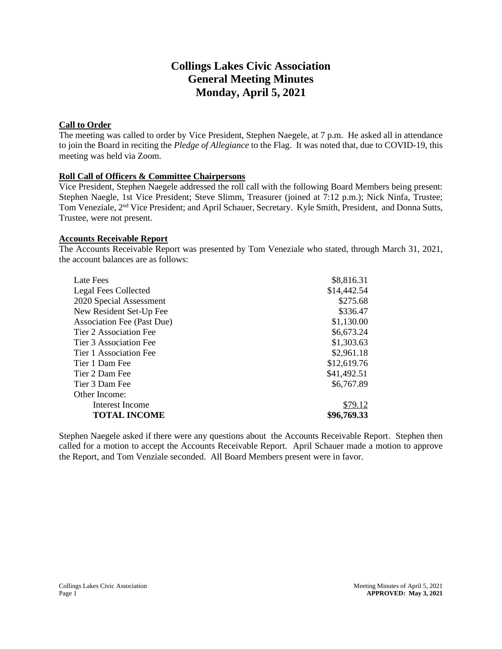# **Collings Lakes Civic Association General Meeting Minutes Monday, April 5, 2021**

# **Call to Order**

The meeting was called to order by Vice President, Stephen Naegele, at 7 p.m. He asked all in attendance to join the Board in reciting the *Pledge of Allegiance* to the Flag. It was noted that, due to COVID-19, this meeting was held via Zoom.

# **Roll Call of Officers & Committee Chairpersons**

Vice President, Stephen Naegele addressed the roll call with the following Board Members being present: Stephen Naegle, 1st Vice President; Steve Slimm, Treasurer (joined at 7:12 p.m.); Nick Ninfa, Trustee; Tom Veneziale, 2<sup>nd</sup> Vice President; and April Schauer, Secretary. Kyle Smith, President, and Donna Sutts, Trustee, were not present.

### **Accounts Receivable Report**

The Accounts Receivable Report was presented by Tom Veneziale who stated, through March 31, 2021, the account balances are as follows:

| Late Fees                         | \$8,816.31  |
|-----------------------------------|-------------|
| <b>Legal Fees Collected</b>       | \$14,442.54 |
| 2020 Special Assessment           | \$275.68    |
| New Resident Set-Up Fee           | \$336.47    |
| <b>Association Fee (Past Due)</b> | \$1,130.00  |
| Tier 2 Association Fee            | \$6,673.24  |
| Tier 3 Association Fee            | \$1,303.63  |
| Tier 1 Association Fee            | \$2,961.18  |
| Tier 1 Dam Fee                    | \$12,619.76 |
| Tier 2 Dam Fee                    | \$41,492.51 |
| Tier 3 Dam Fee                    | \$6,767.89  |
| Other Income:                     |             |
| Interest Income                   | \$79.12     |
| <b>TOTAL INCOME</b>               | \$96,769.33 |

Stephen Naegele asked if there were any questions about the Accounts Receivable Report. Stephen then called for a motion to accept the Accounts Receivable Report. April Schauer made a motion to approve the Report, and Tom Venziale seconded. All Board Members present were in favor.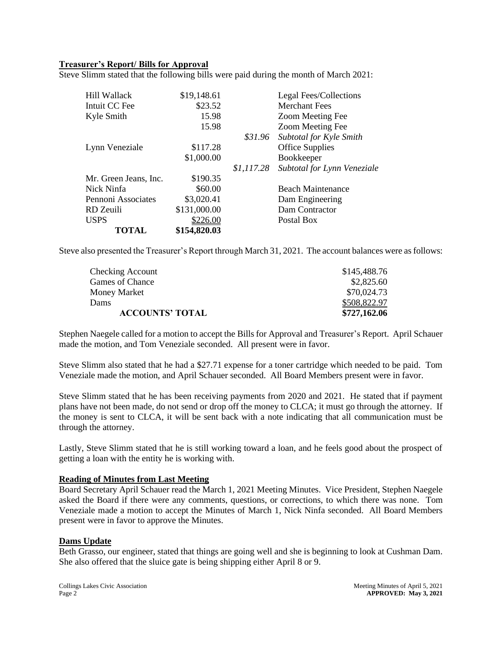# **Treasurer's Report/ Bills for Approval**

Steve Slimm stated that the following bills were paid during the month of March 2021:

| TOTAL                 | \$154,820.03 |            |                             |
|-----------------------|--------------|------------|-----------------------------|
| <b>USPS</b>           | \$226.00     |            | Postal Box                  |
| RD Zeuili             | \$131,000.00 |            | Dam Contractor              |
| Pennoni Associates    | \$3,020.41   |            | Dam Engineering             |
| Nick Ninfa            | \$60.00      |            | <b>Beach Maintenance</b>    |
| Mr. Green Jeans, Inc. | \$190.35     |            |                             |
|                       |              | \$1,117.28 | Subtotal for Lynn Veneziale |
|                       | \$1,000.00   |            | Bookkeeper                  |
| Lynn Veneziale        | \$117.28     |            | <b>Office Supplies</b>      |
|                       |              | \$31.96    | Subtotal for Kyle Smith     |
|                       | 15.98        |            | Zoom Meeting Fee            |
| Kyle Smith            | 15.98        |            | Zoom Meeting Fee            |
| Intuit CC Fee         | \$23.52      |            | <b>Merchant Fees</b>        |
| Hill Wallack          | \$19,148.61  |            | Legal Fees/Collections      |
|                       |              |            |                             |

Steve also presented the Treasurer's Report through March 31, 2021. The account balances were as follows:

| \$727,162.06 |
|--------------|
| \$508,822.97 |
| \$70,024.73  |
| \$2,825.60   |
| \$145,488.76 |
|              |

Stephen Naegele called for a motion to accept the Bills for Approval and Treasurer's Report. April Schauer made the motion, and Tom Veneziale seconded. All present were in favor.

Steve Slimm also stated that he had a \$27.71 expense for a toner cartridge which needed to be paid. Tom Veneziale made the motion, and April Schauer seconded. All Board Members present were in favor.

Steve Slimm stated that he has been receiving payments from 2020 and 2021. He stated that if payment plans have not been made, do not send or drop off the money to CLCA; it must go through the attorney. If the money is sent to CLCA, it will be sent back with a note indicating that all communication must be through the attorney.

Lastly, Steve Slimm stated that he is still working toward a loan, and he feels good about the prospect of getting a loan with the entity he is working with.

#### **Reading of Minutes from Last Meeting**

Board Secretary April Schauer read the March 1, 2021 Meeting Minutes. Vice President, Stephen Naegele asked the Board if there were any comments, questions, or corrections, to which there was none. Tom Veneziale made a motion to accept the Minutes of March 1, Nick Ninfa seconded. All Board Members present were in favor to approve the Minutes.

#### **Dams Update**

Beth Grasso, our engineer, stated that things are going well and she is beginning to look at Cushman Dam. She also offered that the sluice gate is being shipping either April 8 or 9.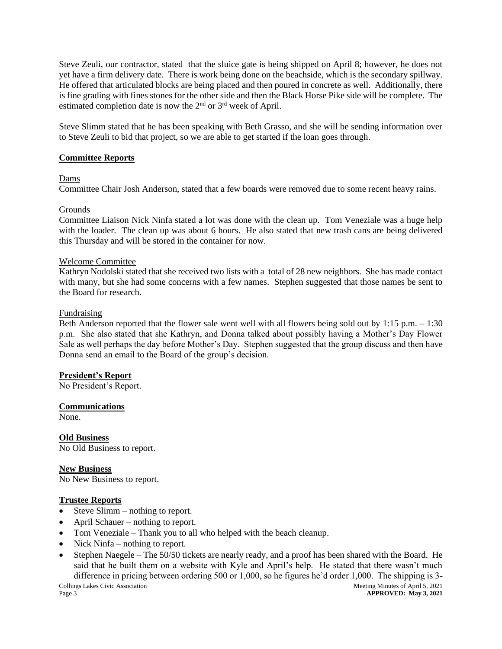Steve Zeuli, our contractor, stated that the sluice gate is being shipped on April 8; however, he does not yet have a firm delivery date. There is work being done on the beachside, which is the secondary spillway. He offered that articulated blocks are being placed and then poured in concrete as well. Additionally, there is fine grading with fines stones for the other side and then the Black Horse Pike side will be complete. The estimated completion date is now the  $2<sup>nd</sup>$  or  $3<sup>rd</sup>$  week of April.

Steve Slimm stated that he has been speaking with Beth Grasso, and she will be sending information over to Steve Zeuli to bid that project, so we are able to get started if the loan goes through.

### **Committee Reports**

### Dams

Committee Chair Josh Anderson, stated that a few boards were removed due to some recent heavy rains.

# Grounds

Committee Liaison Nick Ninfa stated a lot was done with the clean up. Tom Veneziale was a huge help with the loader. The clean up was about 6 hours. He also stated that new trash cans are being delivered this Thursday and will be stored in the container for now.

### Welcome Committee

Kathryn Nodolski stated that she received two lists with a total of 28 new neighbors. She has made contact with many, but she had some concerns with a few names. Stephen suggested that those names be sent to the Board for research.

# Fundraising

Beth Anderson reported that the flower sale went well with all flowers being sold out by 1:15 p.m. – 1:30 p.m. She also stated that she Kathryn, and Donna talked about possibly having a Mother's Day Flower Sale as well perhaps the day before Mother's Day. Stephen suggested that the group discuss and then have Donna send an email to the Board of the group's decision.

### **President's Report**

No President's Report.

### **Communications**

None.

**Old Business**  No Old Business to report.

**New Business** 

No New Business to report.

# **Trustee Reports**

- Steve Slimm nothing to report.
- April Schauer nothing to report.
- Tom Veneziale Thank you to all who helped with the beach cleanup.
- Nick Ninfa nothing to report.
- Stephen Naegele The 50/50 tickets are nearly ready, and a proof has been shared with the Board. He said that he built them on a website with Kyle and April's help. He stated that there wasn't much difference in pricing between ordering 500 or 1,000, so he figures he'd order 1,000. The shipping is 3-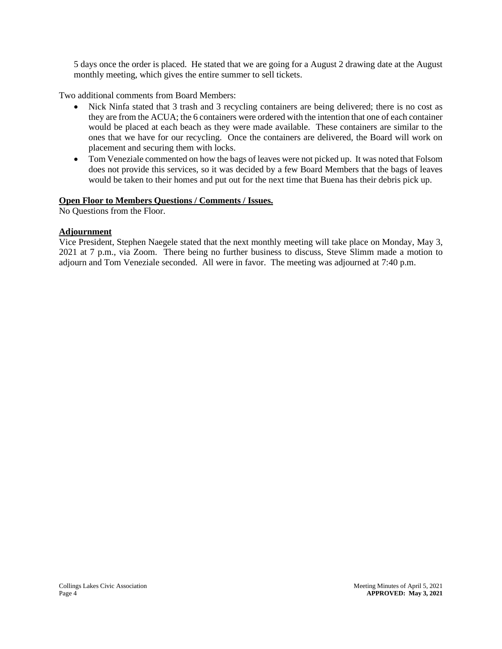5 days once the order is placed. He stated that we are going for a August 2 drawing date at the August monthly meeting, which gives the entire summer to sell tickets.

Two additional comments from Board Members:

- Nick Ninfa stated that 3 trash and 3 recycling containers are being delivered; there is no cost as they are from the ACUA; the 6 containers were ordered with the intention that one of each container would be placed at each beach as they were made available. These containers are similar to the ones that we have for our recycling. Once the containers are delivered, the Board will work on placement and securing them with locks.
- Tom Veneziale commented on how the bags of leaves were not picked up. It was noted that Folsom does not provide this services, so it was decided by a few Board Members that the bags of leaves would be taken to their homes and put out for the next time that Buena has their debris pick up.

# **Open Floor to Members Questions / Comments / Issues.**

No Questions from the Floor.

# **Adjournment**

Vice President, Stephen Naegele stated that the next monthly meeting will take place on Monday, May 3, 2021 at 7 p.m., via Zoom. There being no further business to discuss, Steve Slimm made a motion to adjourn and Tom Veneziale seconded. All were in favor. The meeting was adjourned at 7:40 p.m.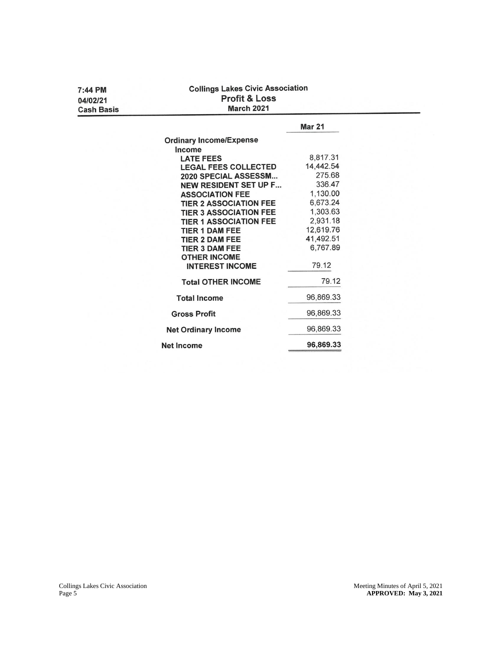| 7:44 PM<br>04/02/21<br><b>Cash Basis</b> | <b>Collings Lakes Civic Association</b><br><b>Profit &amp; Loss</b><br><b>March 2021</b> |               |  |  |  |  |
|------------------------------------------|------------------------------------------------------------------------------------------|---------------|--|--|--|--|
|                                          |                                                                                          | <b>Mar 21</b> |  |  |  |  |
|                                          | <b>Ordinary Income/Expense</b>                                                           |               |  |  |  |  |
|                                          | Income                                                                                   |               |  |  |  |  |
|                                          | <b>LATE FEES</b>                                                                         | 8,817.31      |  |  |  |  |
|                                          | <b>LEGAL FEES COLLECTED</b>                                                              | 14,442.54     |  |  |  |  |
|                                          | 2020 SPECIAL ASSESSM                                                                     | 275.68        |  |  |  |  |
|                                          | <b>NEW RESIDENT SET UP F</b>                                                             | 336.47        |  |  |  |  |
|                                          | <b>ASSOCIATION FEE</b>                                                                   | 1,130.00      |  |  |  |  |
|                                          | <b>TIER 2 ASSOCIATION FEE</b>                                                            | 6,673.24      |  |  |  |  |
|                                          | <b>TIER 3 ASSOCIATION FEE</b>                                                            | 1,303.63      |  |  |  |  |
|                                          | <b>TIER 1 ASSOCIATION FEE</b>                                                            | 2,931.18      |  |  |  |  |
|                                          | <b>TIER 1 DAM FEE</b>                                                                    | 12,619.76     |  |  |  |  |
|                                          | <b>TIER 2 DAM FEE</b>                                                                    | 41,492.51     |  |  |  |  |
|                                          | <b>TIER 3 DAM FEE</b>                                                                    | 6.767.89      |  |  |  |  |
|                                          | <b>OTHER INCOME</b>                                                                      |               |  |  |  |  |
|                                          | <b>INTEREST INCOME</b>                                                                   | 79.12         |  |  |  |  |
|                                          | <b>Total OTHER INCOME</b>                                                                | 79.12         |  |  |  |  |
|                                          | <b>Total Income</b>                                                                      | 96,869.33     |  |  |  |  |
|                                          | <b>Gross Profit</b>                                                                      | 96,869.33     |  |  |  |  |
|                                          | <b>Net Ordinary Income</b>                                                               | 96,869.33     |  |  |  |  |
|                                          | <b>Net Income</b>                                                                        | 96,869.33     |  |  |  |  |